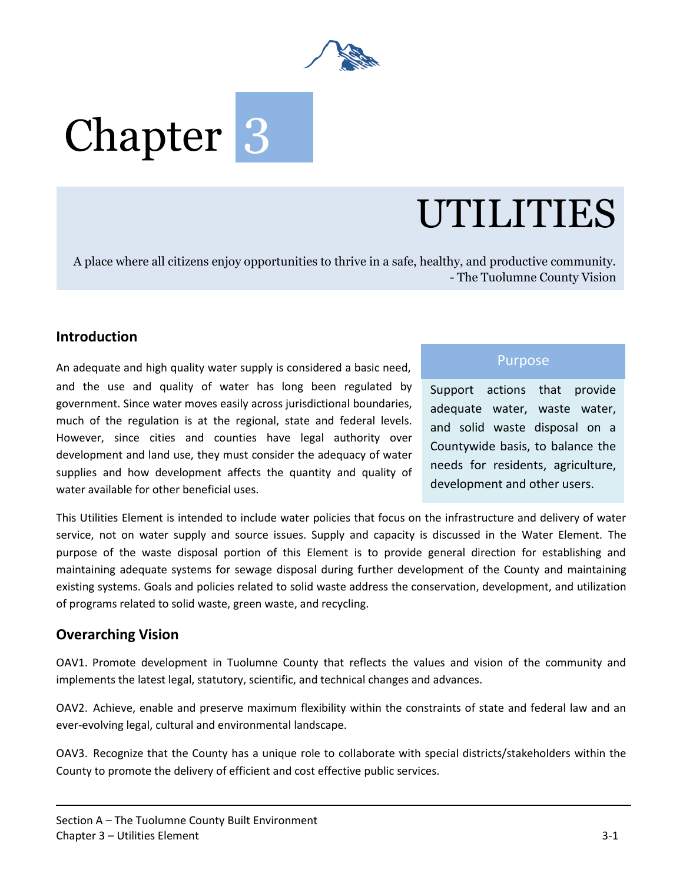

# Chapter<sup>3</sup>

# UTILITIES

A place where all citizens enjoy opportunities to thrive in a safe, healthy, and productive community. - The Tuolumne County Vision

#### **Introduction**

An adequate and high quality water supply is considered a basic need, and the use and quality of water has long been regulated by government. Since water moves easily across jurisdictional boundaries, much of the regulation is at the regional, state and federal levels. However, since cities and counties have legal authority over development and land use, they must consider the adequacy of water supplies and how development affects the quantity and quality of water available for other beneficial uses.

#### Purpose

Support actions that provide adequate water, waste water, and solid waste disposal on a Countywide basis, to balance the needs for residents, agriculture, development and other users.

This Utilities Element is intended to include water policies that focus on the infrastructure and delivery of water service, not on water supply and source issues. Supply and capacity is discussed in the Water Element. The purpose of the waste disposal portion of this Element is to provide general direction for establishing and maintaining adequate systems for sewage disposal during further development of the County and maintaining existing systems. Goals and policies related to solid waste address the conservation, development, and utilization of programs related to solid waste, green waste, and recycling.

#### **Overarching Vision**

OAV1. Promote development in Tuolumne County that reflects the values and vision of the community and implements the latest legal, statutory, scientific, and technical changes and advances.

OAV2. Achieve, enable and preserve maximum flexibility within the constraints of state and federal law and an ever-evolving legal, cultural and environmental landscape.

OAV3. Recognize that the County has a unique role to collaborate with special districts/stakeholders within the County to promote the delivery of efficient and cost effective public services.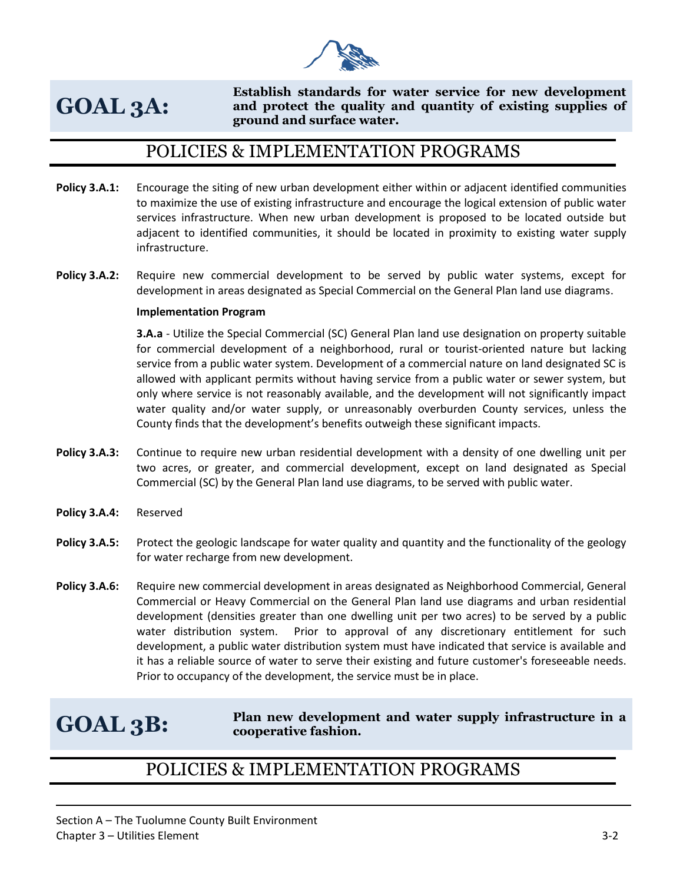

# **GOAL 3A:**

**Establish standards for water service for new development and protect the quality and quantity of existing supplies of ground and surface water.** 

## POLICIES & IMPLEMENTATION PROGRAMS

- **Policy 3.A.1:** Encourage the siting of new urban development either within or adjacent identified communities to maximize the use of existing infrastructure and encourage the logical extension of public water services infrastructure. When new urban development is proposed to be located outside but adjacent to identified communities, it should be located in proximity to existing water supply infrastructure.
- **Policy 3.A.2:** Require new commercial development to be served by public water systems, except for development in areas designated as Special Commercial on the General Plan land use diagrams.

#### **Implementation Program**

**3.A.a** - Utilize the Special Commercial (SC) General Plan land use designation on property suitable for commercial development of a neighborhood, rural or tourist-oriented nature but lacking service from a public water system. Development of a commercial nature on land designated SC is allowed with applicant permits without having service from a public water or sewer system, but only where service is not reasonably available, and the development will not significantly impact water quality and/or water supply, or unreasonably overburden County services, unless the County finds that the development's benefits outweigh these significant impacts.

- **Policy 3.A.3:** Continue to require new urban residential development with a density of one dwelling unit per two acres, or greater, and commercial development, except on land designated as Special Commercial (SC) by the General Plan land use diagrams, to be served with public water.
- **Policy 3.A.4:** Reserved
- **Policy 3.A.5:** Protect the geologic landscape for water quality and quantity and the functionality of the geology for water recharge from new development.
- **Policy 3.A.6:** Require new commercial development in areas designated as Neighborhood Commercial, General Commercial or Heavy Commercial on the General Plan land use diagrams and urban residential development (densities greater than one dwelling unit per two acres) to be served by a public water distribution system. Prior to approval of any discretionary entitlement for such development, a public water distribution system must have indicated that service is available and it has a reliable source of water to serve their existing and future customer's foreseeable needs. Prior to occupancy of the development, the service must be in place.

# **GOAL 3B:**

**Plan new development and water supply infrastructure in a cooperative fashion.** 

## POLICIES & IMPLEMENTATION PROGRAMS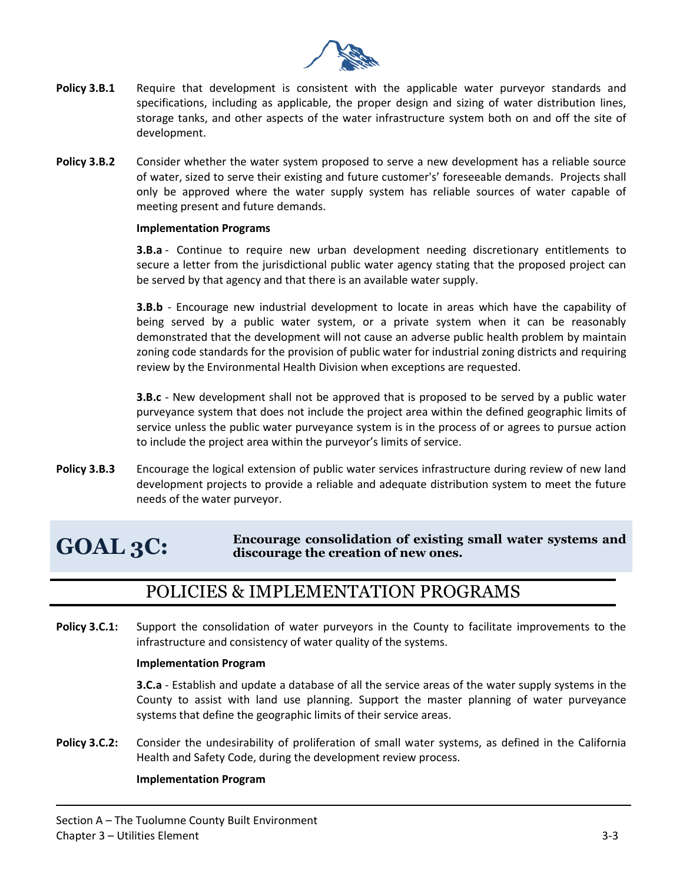

- **Policy 3.B.1** Require that development is consistent with the applicable water purveyor standards and specifications, including as applicable, the proper design and sizing of water distribution lines, storage tanks, and other aspects of the water infrastructure system both on and off the site of development.
- **Policy 3.B.2** Consider whether the water system proposed to serve a new development has a reliable source of water, sized to serve their existing and future customer's' foreseeable demands. Projects shall only be approved where the water supply system has reliable sources of water capable of meeting present and future demands.

#### **Implementation Programs**

**3.B.a** - Continue to require new urban development needing discretionary entitlements to secure a letter from the jurisdictional public water agency stating that the proposed project can be served by that agency and that there is an available water supply.

**3.B.b** - Encourage new industrial development to locate in areas which have the capability of being served by a public water system, or a private system when it can be reasonably demonstrated that the development will not cause an adverse public health problem by maintain zoning code standards for the provision of public water for industrial zoning districts and requiring review by the Environmental Health Division when exceptions are requested.

**3.B.c** - New development shall not be approved that is proposed to be served by a public water purveyance system that does not include the project area within the defined geographic limits of service unless the public water purveyance system is in the process of or agrees to pursue action to include the project area within the purveyor's limits of service.

**Policy 3.B.3** Encourage the logical extension of public water services infrastructure during review of new land development projects to provide a reliable and adequate distribution system to meet the future needs of the water purveyor.

#### **GOAL 3C: Encourage consolidation of existing small water systems and discourage the creation of new ones.**

## POLICIES & IMPLEMENTATION PROGRAMS

**Policy 3.C.1:** Support the consolidation of water purveyors in the County to facilitate improvements to the infrastructure and consistency of water quality of the systems.

#### **Implementation Program**

**3.C.a** - Establish and update a database of all the service areas of the water supply systems in the County to assist with land use planning. Support the master planning of water purveyance systems that define the geographic limits of their service areas.

**Policy 3.C.2:** Consider the undesirability of proliferation of small water systems, as defined in the California Health and Safety Code, during the development review process.

#### **Implementation Program**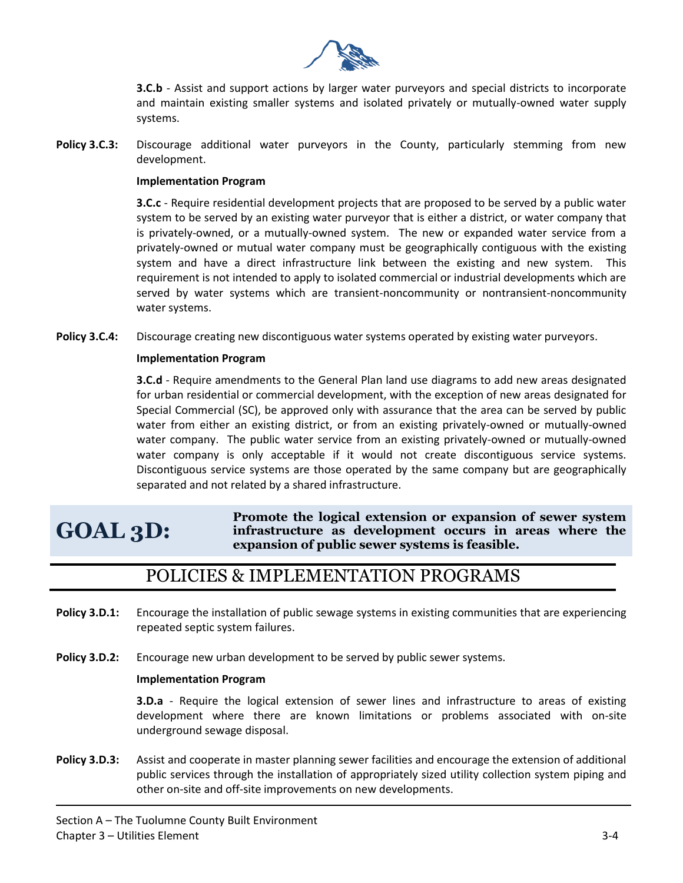

**3.C.b** - Assist and support actions by larger water purveyors and special districts to incorporate and maintain existing smaller systems and isolated privately or mutually-owned water supply systems.

**Policy 3.C.3:** Discourage additional water purveyors in the County, particularly stemming from new development.

#### **Implementation Program**

**3.C.c** - Require residential development projects that are proposed to be served by a public water system to be served by an existing water purveyor that is either a district, or water company that is privately-owned, or a mutually-owned system. The new or expanded water service from a privately-owned or mutual water company must be geographically contiguous with the existing system and have a direct infrastructure link between the existing and new system. This requirement is not intended to apply to isolated commercial or industrial developments which are served by water systems which are transient-noncommunity or nontransient-noncommunity water systems.

**Policy 3.C.4:** Discourage creating new discontiguous water systems operated by existing water purveyors.

#### **Implementation Program**

**3.C.d** - Require amendments to the General Plan land use diagrams to add new areas designated for urban residential or commercial development, with the exception of new areas designated for Special Commercial (SC), be approved only with assurance that the area can be served by public water from either an existing district, or from an existing privately-owned or mutually-owned water company. The public water service from an existing privately-owned or mutually-owned water company is only acceptable if it would not create discontiguous service systems. Discontiguous service systems are those operated by the same company but are geographically separated and not related by a shared infrastructure.

# **GOAL 3D:**

**Promote the logical extension or expansion of sewer system infrastructure as development occurs in areas where the expansion of public sewer systems is feasible.** 

### POLICIES & IMPLEMENTATION PROGRAMS

- **Policy 3.D.1:** Encourage the installation of public sewage systems in existing communities that are experiencing repeated septic system failures.
- **Policy 3.D.2:** Encourage new urban development to be served by public sewer systems.

#### **Implementation Program**

**3.D.a** - Require the logical extension of sewer lines and infrastructure to areas of existing development where there are known limitations or problems associated with on-site underground sewage disposal.

**Policy 3.D.3:** Assist and cooperate in master planning sewer facilities and encourage the extension of additional public services through the installation of appropriately sized utility collection system piping and other on-site and off-site improvements on new developments.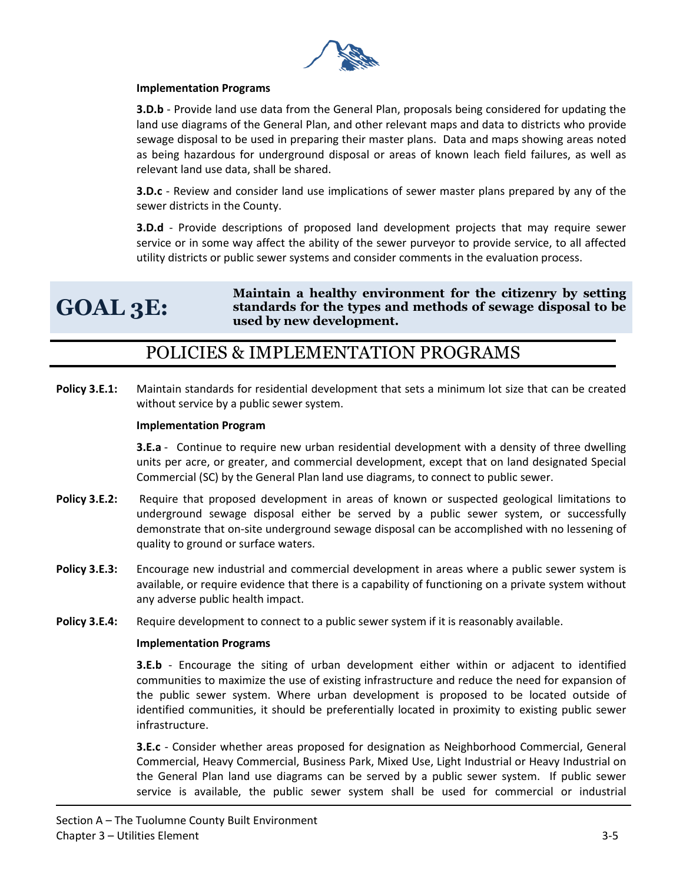

#### **Implementation Programs**

**3.D.b** - Provide land use data from the General Plan, proposals being considered for updating the land use diagrams of the General Plan, and other relevant maps and data to districts who provide sewage disposal to be used in preparing their master plans. Data and maps showing areas noted as being hazardous for underground disposal or areas of known leach field failures, as well as relevant land use data, shall be shared.

**3.D.c** - Review and consider land use implications of sewer master plans prepared by any of the sewer districts in the County.

**3.D.d** - Provide descriptions of proposed land development projects that may require sewer service or in some way affect the ability of the sewer purveyor to provide service, to all affected utility districts or public sewer systems and consider comments in the evaluation process.

# **GOAL 3E:**

**Maintain a healthy environment for the citizenry by setting standards for the types and methods of sewage disposal to be used by new development.** 

## POLICIES & IMPLEMENTATION PROGRAMS

**Policy 3.E.1:** Maintain standards for residential development that sets a minimum lot size that can be created without service by a public sewer system.

#### **Implementation Program**

**3.E.a** - Continue to require new urban residential development with a density of three dwelling units per acre, or greater, and commercial development, except that on land designated Special Commercial (SC) by the General Plan land use diagrams, to connect to public sewer.

- **Policy 3.E.2:** Require that proposed development in areas of known or suspected geological limitations to underground sewage disposal either be served by a public sewer system, or successfully demonstrate that on-site underground sewage disposal can be accomplished with no lessening of quality to ground or surface waters.
- **Policy 3.E.3:** Encourage new industrial and commercial development in areas where a public sewer system is available, or require evidence that there is a capability of functioning on a private system without any adverse public health impact.
- **Policy 3.E.4:** Require development to connect to a public sewer system if it is reasonably available.

#### **Implementation Programs**

**3.E.b** - Encourage the siting of urban development either within or adjacent to identified communities to maximize the use of existing infrastructure and reduce the need for expansion of the public sewer system. Where urban development is proposed to be located outside of identified communities, it should be preferentially located in proximity to existing public sewer infrastructure.

**3.E.c** - Consider whether areas proposed for designation as Neighborhood Commercial, General Commercial, Heavy Commercial, Business Park, Mixed Use, Light Industrial or Heavy Industrial on the General Plan land use diagrams can be served by a public sewer system. If public sewer service is available, the public sewer system shall be used for commercial or industrial